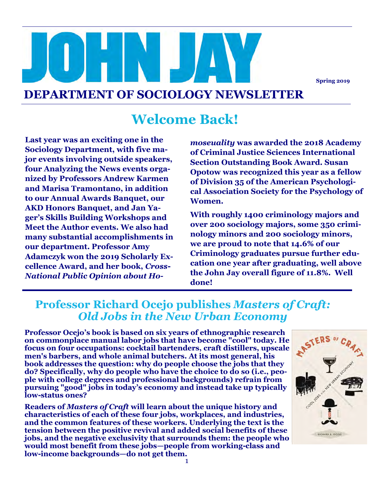**Spring 2019**

#### **DEPARTMENT OF SOCIOLOGY NEWSLETTER**

#### **Welcome Back!**

**Last year was an exciting one in the Sociology Department, with five major events involving outside speakers, four Analyzing the News events organized by Professors Andrew Karmen and Marisa Tramontano, in addition to our Annual Awards Banquet, our AKD Honors Banquet, and Jan Yager's Skills Building Workshops and Meet the Author events. We also had many substantial accomplishments in our department. Professor Amy Adamczyk won the 2019 Scholarly Excellence Award, and her book,** *Cross-National Public Opinion about Ho-*

*moseuality* **was awarded the 2018 Academy of Criminal Justice Sciences International Section Outstanding Book Award. Susan Opotow was recognized this year as a fellow of Division 35 of the American Psychological Association Society for the Psychology of Women.** 

**With roughly 1400 criminology majors and over 200 sociology majors, some 350 criminology minors and 200 sociology minors, we are proud to note that 14.6% of our Criminology graduates pursue further education one year after graduating, well above the John Jay overall figure of 11.8%. Well done!**

#### **Professor Richard Ocejo publishes** *Masters of Craft: Old Jobs in the New Urban Economy*

**Professor Ocejo's book is based on six years of ethnographic research on commonplace manual labor jobs that have become "cool" today. He focus on four occupations: cocktail bartenders, craft distillers, upscale men's barbers, and whole animal butchers. At its most general, his book addresses the question: why do people choose the jobs that they do? Specifically, why do people who have the choice to do so (i.e., people with college degrees and professional backgrounds) refrain from pursuing "good" jobs in today's economy and instead take up typically low-status ones?**

**Readers of** *Masters of Craft* **will learn about the unique history and characteristics of each of these four jobs, workplaces, and industries, and the common features of these workers. Underlying the text is the tension between the positive revival and added social benefits of these jobs, and the negative exclusivity that surrounds them: the people who would most benefit from these jobs—people from working-class and low-income backgrounds—do not get them.**

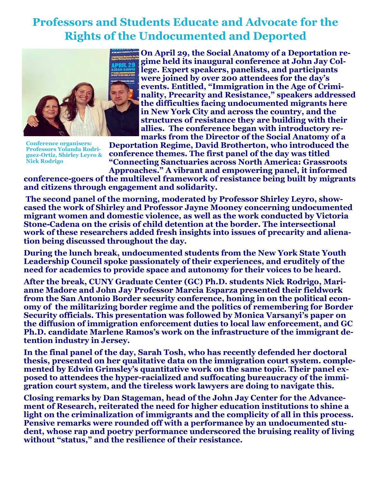#### **Professors and Students Educate and Advocate for the Rights of the Undocumented and Deported**



**Conference organisers: Professors Yolanda Rodriguez-Ortiz, Shirley Leyro & Nick Rodrigo**

**On April 29, the Social Anatomy of a Deportation regime held its inaugural conference at John Jay College. Expert speakers, panelists, and participants were joined by over 200 attendees for the day's events. Entitled, "Immigration in the Age of Criminality, Precarity and Resistance," speakers addressed the difficulties facing undocumented migrants here in New York City and across the country, and the structures of resistance they are building with their allies. The conference began with introductory remarks from the Director of the Social Anatomy of a** 

**Deportation Regime, David Brotherton, who introduced the conference themes. The first panel of the day was titled "Connecting Sanctuaries across North America: Grassroots Approaches." A vibrant and empowering panel, it informed** 

**conference-goers of the multilevel framework of resistance being built by migrants and citizens through engagement and solidarity.**

**The second panel of the morning, moderated by Professor Shirley Leyro, showcased the work of Shirley and Professor Jayne Mooney concerning undocumented migrant women and domestic violence, as well as the work conducted by Victoria Stone-Cadena on the crisis of child detention at the border. The intersectional work of these researchers added fresh insights into issues of precarity and alienation being discussed throughout the day.** 

**During the lunch break, undocumented students from the New York State Youth Leadership Council spoke passionately of their experiences, and eruditely of the need for academics to provide space and autonomy for their voices to be heard.** 

**After the break, CUNY Graduate Center (GC) Ph.D. students Nick Rodrigo, Marianne Madore and John Jay Professor Marcia Esparza presented their fieldwork from the San Antonio Border security conference, honing in on the political economy of the militarizing border regime and the politics of remembering for Border Security officials. This presentation was followed by Monica Varsanyi's paper on the diffusion of immigration enforcement duties to local law enforcement, and GC Ph.D. candidate Marlene Ramos's work on the infrastructure of the immigrant detention industry in Jersey.** 

**In the final panel of the day, Sarah Tosh, who has recently defended her doctoral thesis, presented on her qualitative data on the immigration court system. complemented by Edwin Grimsley's quantitative work on the same topic. Their panel exposed to attendees the hyper-racialized and suffocating bureaucracy of the immigration court system, and the tireless work lawyers are doing to navigate this.**

**Closing remarks by Dan Stageman, head of the John Jay Center for the Advancement of Research, reiterated the need for higher education institutions to shine a light on the criminalization of immigrants and the complicity of all in this process. Pensive remarks were rounded off with a performance by an undocumented student, whose rap and poetry performance underscored the bruising reality of living without "status," and the resilience of their resistance.**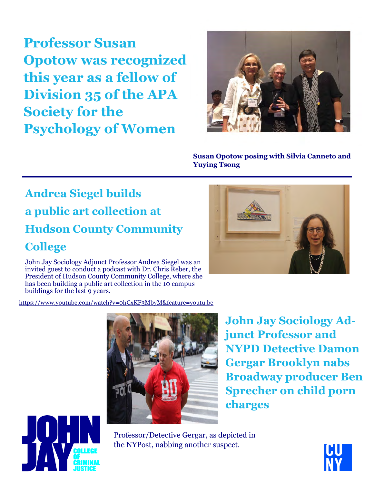**Professor Susan Opotow was recognized this year as a fellow of Division 35 of the APA Society for the Psychology of Women**



**Susan Opotow posing with Silvia Canneto and Yuying Tsong** 

## **Andrea Siegel builds a public art collection at Hudson County Community College**

John Jay Sociology Adjunct Professor Andrea Siegel was an invited guest to conduct a podcast with Dr. Chris Reber, the President of Hudson County Community College, where she has been building a public art collection in the 10 campus buildings for the last 9 years.

[https://www.youtube.com/watch?v=0hCxKF3MbyM&feature=youtu.be](https://mail.jjay.cuny.edu/owa/redir.aspx?C=2xnl8p_J1LoGzPouvWTHPQtQ1_fe24Pktv1QISZfSWFTE4vWdyLXCA..&URL=https%3a%2f%2fwww.youtube.com%2fwatch%3fv%3d0hCxKF3MbyM%26feature%3dyoutu.be)



**John Jay Sociology Adjunct Professor and NYPD Detective Damon Gergar Brooklyn nabs Broadway producer Ben Sprecher on child porn charges**

Professor/Detective Gergar, as depicted in the NYPost, nabbing another suspect.





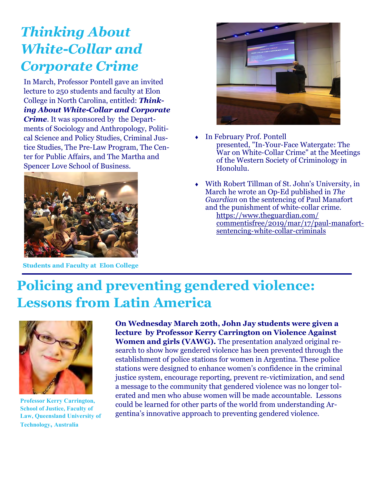## *Thinking About White-Collar and Corporate Crime*

In March, Professor Pontell gave an invited lecture to 250 students and faculty at Elon College in North Carolina, entitled: *Thinking About White-Collar and Corporate Crime*. It was sponsored by the Departments of Sociology and Anthropology, Political Science and Policy Studies, Criminal Justice Studies, The Pre-Law Program, The Center for Public Affairs, and The Martha and Spencer Love School of Business.



**Students and Faculty at Elon College**



- In February Prof. Pontell presented, "In-Your-Face Watergate: The War on White-Collar Crime" at the Meetings of the Western Society of Criminology in Honolulu.
- With Robert Tillman of St. John's University, in March he wrote an Op-Ed published in *The Guardian* on the sentencing of Paul Manafort and the punishment of white-collar crime.
	- [https://www.theguardian.com/](https://www.theguardian.com/commentisfree/2019/mar/17/paul-manafort-sentencing-white-collar-criminals) [commentisfree/2019/mar/17/paul](https://www.theguardian.com/commentisfree/2019/mar/17/paul-manafort-sentencing-white-collar-criminals)-manafort[sentencing](https://www.theguardian.com/commentisfree/2019/mar/17/paul-manafort-sentencing-white-collar-criminals)-white-collar-criminals

#### **Policing and preventing gendered violence: Lessons from Latin America**



**Professor Kerry Carrington, School of Justice, Faculty of Law, Queensland University of Technology, Australia**

**On Wednesday March 20th, John Jay students were given a lecture by Professor Kerry Carrington on Violence Against Women and girls (VAWG).** The presentation analyzed original research to show how gendered violence has been prevented through the establishment of police stations for women in Argentina. These police stations were designed to enhance women's confidence in the criminal justice system, encourage reporting, prevent re-victimization, and send a message to the community that gendered violence was no longer tolerated and men who abuse women will be made accountable. Lessons could be learned for other parts of the world from understanding Argentina's innovative approach to preventing gendered violence.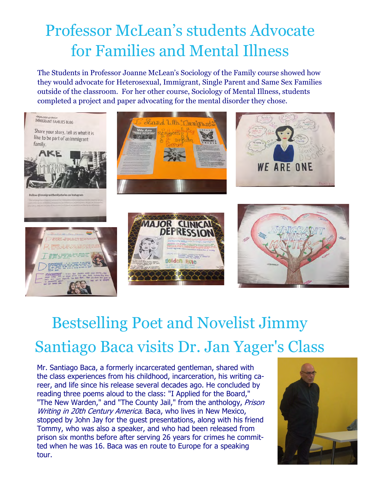# Professor McLean's students Advocate for Families and Mental Illness

The Students in Professor Joanne McLean's Sociology of the Family course showed how they would advocate for Heterosexual, Immigrant, Single Parent and Same Sex Families outside of the classroom. For her other course, Sociology of Mental Illness, students completed a project and paper advocating for the mental disorder they chose.



# Bestselling Poet and Novelist Jimmy Santiago Baca visits Dr. Jan Yager's Class

Mr. Santiago Baca, a formerly incarcerated gentleman, shared with the class experiences from his childhood, incarceration, his writing career, and life since his release several decades ago. He concluded by reading three poems aloud to the class: "I Applied for the Board," "The New Warden," and "The County Jail," from the anthology, Prison Writing in 20th Century America. Baca, who lives in New Mexico, stopped by John Jay for the guest presentations, along with his friend Tommy, who was also a speaker, and who had been released from prison six months before after serving 26 years for crimes he committed when he was 16. Baca was en route to Europe for a speaking tour.

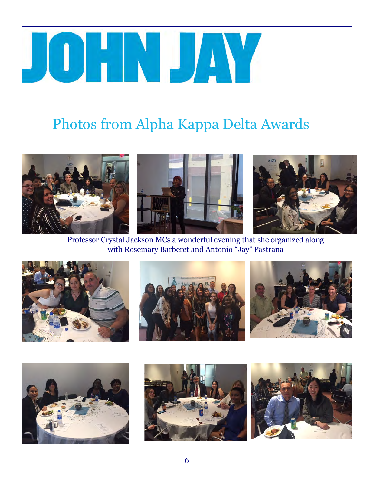# JUHN JAY

# Photos from Alpha Kappa Delta Awards



Professor Crystal Jackson MCs a wonderful evening that she organized along with Rosemary Barberet and Antonio "Jay" Pastrana











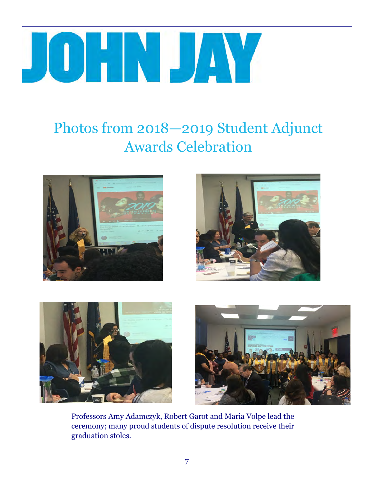#### ┚║╹ N POP M a a

# Photos from 2018—2019 Student Adjunct Awards Celebration









Professors Amy Adamczyk, Robert Garot and Maria Volpe lead the ceremony; many proud students of dispute resolution receive their graduation stoles.